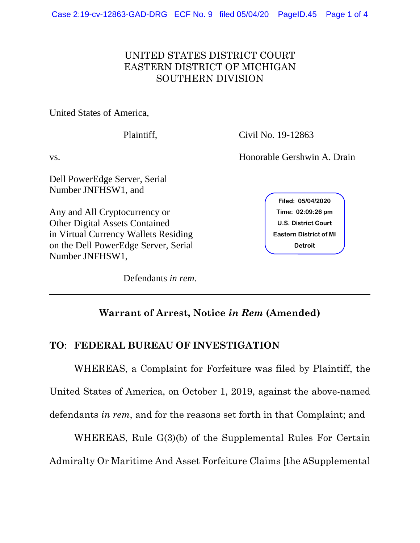## UNITED STATES DISTRICT COURT EASTERN DISTRICT OF MICHIGAN SOUTHERN DIVISION

United States of America,

 $\overline{a}$ 

Dell PowerEdge Server, Serial Number JNFHSW1, and

Any and All Cryptocurrency or Other Digital Assets Contained in Virtual Currency Wallets Residing on the Dell PowerEdge Server, Serial Number JNFHSW1,

Defendants *in rem*.

Plaintiff, Civil No. 19-12863

vs. Honorable Gershwin A. Drain

**Filed: 05/04/2020 U.S. District Court Eastern District of MI Time: 02:09:26 pm<br>U.S. District Court<br>astern District of M:<br>Detroit** 

## **Warrant of Arrest, Notice** *in Rem* **(Amended)**

## **TO**: **FEDERAL BUREAU OF INVESTIGATION**

WHEREAS, a Complaint for Forfeiture was filed by Plaintiff, the United States of America, on October 1, 2019, against the above-named defendants *in rem*, and for the reasons set forth in that Complaint; and

WHEREAS, Rule G(3)(b) of the Supplemental Rules For Certain Admiralty Or Maritime And Asset Forfeiture Claims [the ASupplemental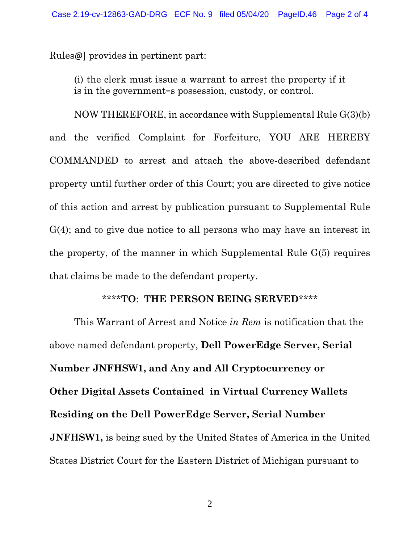Rules@] provides in pertinent part:

(i) the clerk must issue a warrant to arrest the property if it is in the government=s possession, custody, or control.

NOW THEREFORE, in accordance with Supplemental Rule G(3)(b) and the verified Complaint for Forfeiture, YOU ARE HEREBY COMMANDED to arrest and attach the above-described defendant property until further order of this Court; you are directed to give notice of this action and arrest by publication pursuant to Supplemental Rule G(4); and to give due notice to all persons who may have an interest in the property, of the manner in which Supplemental Rule G(5) requires that claims be made to the defendant property.

## \*\*\*\***TO**: **THE PERSON BEING SERVED**\*\*\*\*

 This Warrant of Arrest and Notice *in Rem* is notification that the above named defendant property, **Dell PowerEdge Server, Serial Number JNFHSW1, and Any and All Cryptocurrency or Other Digital Assets Contained in Virtual Currency Wallets Residing on the Dell PowerEdge Server, Serial Number JNFHSW1**, is being sued by the United States of America in the United States District Court for the Eastern District of Michigan pursuant to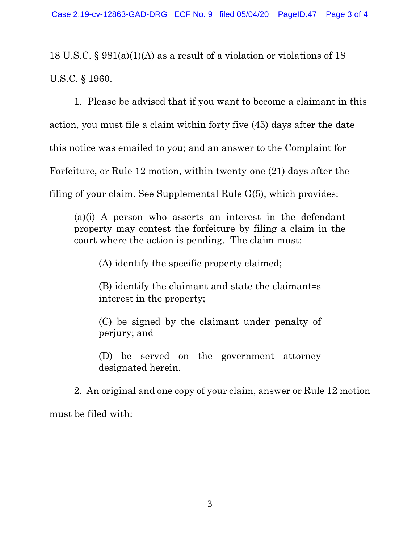18 U.S.C. § 981(a)(1)(A) as a result of a violation or violations of 18 U.S.C. § 1960.

1. Please be advised that if you want to become a claimant in this action, you must file a claim within forty five (45) days after the date this notice was emailed to you; and an answer to the Complaint for Forfeiture, or Rule 12 motion, within twenty-one (21) days after the filing of your claim. See Supplemental Rule G(5), which provides:

(a)(i) A person who asserts an interest in the defendant property may contest the forfeiture by filing a claim in the court where the action is pending. The claim must:

(A) identify the specific property claimed;

(B) identify the claimant and state the claimant=s interest in the property;

(C) be signed by the claimant under penalty of perjury; and

(D) be served on the government attorney designated herein.

2. An original and one copy of your claim, answer or Rule 12 motion must be filed with: